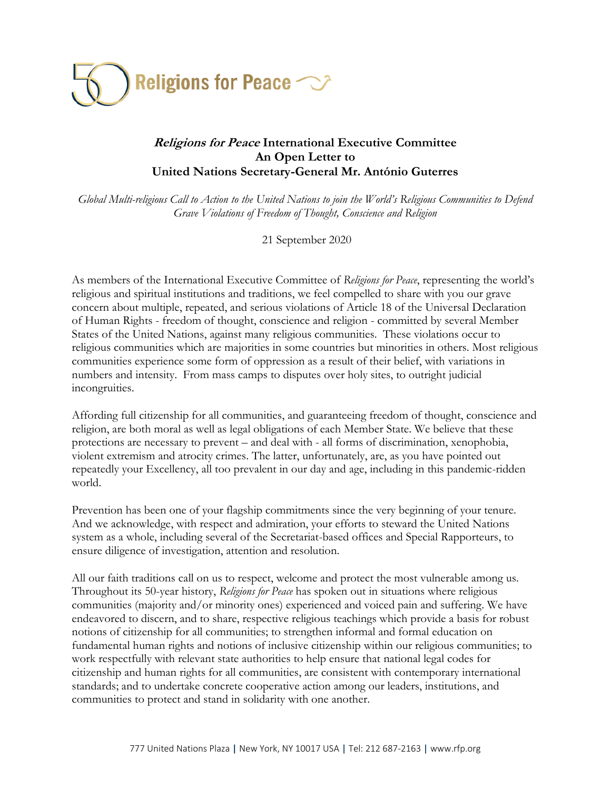

## **Religions for Peace International Executive Committee An Open Letter to United Nations Secretary-General Mr. António Guterres**

*Global Multi-religious Call to Action to the United Nations to join the World's Religious Communities to Defend Grave Violations of Freedom of Thought, Conscience and Religion*

21 September 2020

As members of the International Executive Committee of *Religions for Peace*, representing the world's religious and spiritual institutions and traditions, we feel compelled to share with you our grave concern about multiple, repeated, and serious violations of Article 18 of the Universal Declaration of Human Rights - freedom of thought, conscience and religion - committed by several Member States of the United Nations, against many religious communities. These violations occur to religious communities which are majorities in some countries but minorities in others. Most religious communities experience some form of oppression as a result of their belief, with variations in numbers and intensity. From mass camps to disputes over holy sites, to outright judicial incongruities.

Affording full citizenship for all communities, and guaranteeing freedom of thought, conscience and religion, are both moral as well as legal obligations of each Member State. We believe that these protections are necessary to prevent – and deal with - all forms of discrimination, xenophobia, violent extremism and atrocity crimes. The latter, unfortunately, are, as you have pointed out repeatedly your Excellency, all too prevalent in our day and age, including in this pandemic-ridden world.

Prevention has been one of your flagship commitments since the very beginning of your tenure. And we acknowledge, with respect and admiration, your efforts to steward the United Nations system as a whole, including several of the Secretariat-based offices and Special Rapporteurs, to ensure diligence of investigation, attention and resolution.

All our faith traditions call on us to respect, welcome and protect the most vulnerable among us. Throughout its 50-year history, *Religions for Peace* has spoken out in situations where religious communities (majority and/or minority ones) experienced and voiced pain and suffering. We have endeavored to discern, and to share, respective religious teachings which provide a basis for robust notions of citizenship for all communities; to strengthen informal and formal education on fundamental human rights and notions of inclusive citizenship within our religious communities; to work respectfully with relevant state authorities to help ensure that national legal codes for citizenship and human rights for all communities, are consistent with contemporary international standards; and to undertake concrete cooperative action among our leaders, institutions, and communities to protect and stand in solidarity with one another.